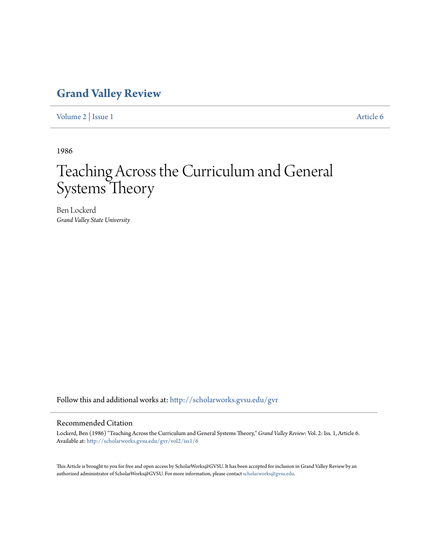## **[Grand Valley Review](http://scholarworks.gvsu.edu/gvr?utm_source=scholarworks.gvsu.edu%2Fgvr%2Fvol2%2Fiss1%2F6&utm_medium=PDF&utm_campaign=PDFCoverPages)**

[Volume 2](http://scholarworks.gvsu.edu/gvr/vol2?utm_source=scholarworks.gvsu.edu%2Fgvr%2Fvol2%2Fiss1%2F6&utm_medium=PDF&utm_campaign=PDFCoverPages) | [Issue 1](http://scholarworks.gvsu.edu/gvr/vol2/iss1?utm_source=scholarworks.gvsu.edu%2Fgvr%2Fvol2%2Fiss1%2F6&utm_medium=PDF&utm_campaign=PDFCoverPages) [Article 6](http://scholarworks.gvsu.edu/gvr/vol2/iss1/6?utm_source=scholarworks.gvsu.edu%2Fgvr%2Fvol2%2Fiss1%2F6&utm_medium=PDF&utm_campaign=PDFCoverPages)

1986

## Teaching Across the Curriculum and General Systems Theory

Ben Lockerd *Grand Valley State University*

Follow this and additional works at: [http://scholarworks.gvsu.edu/gvr](http://scholarworks.gvsu.edu/gvr?utm_source=scholarworks.gvsu.edu%2Fgvr%2Fvol2%2Fiss1%2F6&utm_medium=PDF&utm_campaign=PDFCoverPages)

## Recommended Citation

Lockerd, Ben (1986) "Teaching Across the Curriculum and General Systems Theory," *Grand Valley Review*: Vol. 2: Iss. 1, Article 6. Available at: [http://scholarworks.gvsu.edu/gvr/vol2/iss1/6](http://scholarworks.gvsu.edu/gvr/vol2/iss1/6?utm_source=scholarworks.gvsu.edu%2Fgvr%2Fvol2%2Fiss1%2F6&utm_medium=PDF&utm_campaign=PDFCoverPages)

This Article is brought to you for free and open access by ScholarWorks@GVSU. It has been accepted for inclusion in Grand Valley Review by an authorized administrator of ScholarWorks@GVSU. For more information, please contact [scholarworks@gvsu.edu.](mailto:scholarworks@gvsu.edu)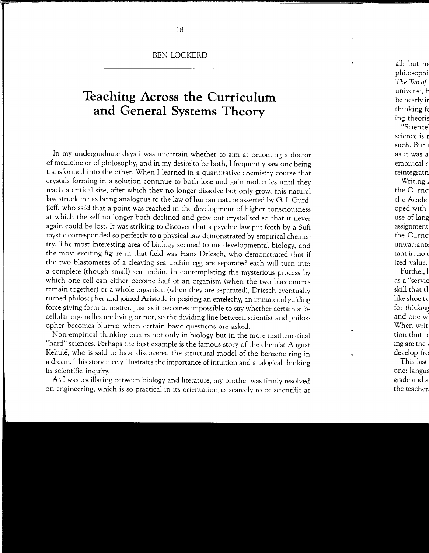BEN LOCKERD

## **Teaching Across the Curriculum and General Systems Theory**

In my undergraduate days I was uncertain whether to aim at becoming a doctor of medicine or of philosophy, and in my desire to be both, I frequently saw one being transformed into the other. When I learned in a quantitative chemistry course that crystals forming in a solution continue to both lose and gain molecules until they reach a critical size, after which they no longer dissolve but only grow, this natural law struck me as being analogous to the law of human nature asserted by G. I. Gurdjieff, who said that a point was reached in the development of higher consciousness at which the self no longer both declined and grew but crystalized so that it never again could be lost. It was striking to discover that a psychic law put forth by a Sufi mystic corresponded so perfectly to a physical law demonstrated by empirical chemistry. The most interesting area of biology seemed to me developmental biology, and the most exciting figure in that field was Hans Driesch, who demonstrated that if the two blastomeres of a cleaving sea urchin egg are separated each will turn into a complete (though small) sea urchin. In contemplating the mysterious process by which one cell can either become half of an organism (when the two blastomeres remain together) or a whole organism (when they are separated), Driesch eventually turned philosopher and joined Aristotle in positing an entelechy, an immaterial guiding force giving form to matter. Just as it becomes impossible to say whether certain subcellular organelles are living or not, so the dividing line between scientist and philosopher becomes blurred when certain basic questions are asked.

Non-empirical thinking occurs not only in biology but in the more mathematical "hard" sciences. Perhaps the best example is the famous story of the chemist August Kekule, who is said to have discovered the structural model of the benzene ring in a dream. This story nicely illustrates the importance of intuition and analogical thinking in scientific inquiry.

As I was oscillating between biology and literature, my brother was firmly resolved on engineering, which is so practical in its orientation as scarcely to be scientific at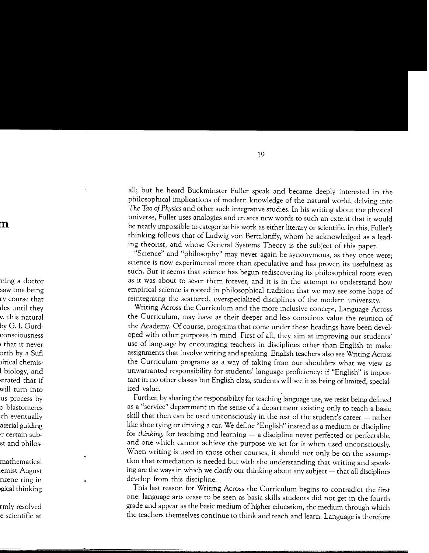all; but he heard Buckminster Fuller speak and became deeply interested in the philosophical implications of modern knowledge of the natural world, delving into *The Tao of Physics* and other such integrative studies. In his writing about the physical universe, Fuller uses analogies and creates new words to such an extent that it would be nearly impossible to categorize his work as either literary or scientific. In this, Fuller's thinking follows that of Ludwig von Bertalanffy, whom he acknowledged as a leading theorist, and whose General Systems Theory is the subject of this paper.

"Science" and "philosophy" may never again be synonymous, as they once were; science is now experimental more than speculative and has proven its usefulness as such. But it seems that science has begun rediscovering its philosophical roots even as it was about to sever them forever, and it is in the attempt to understand how empirical science is rooted in philosophical tradition that we may see some hope of reintegratng the scattered, overspecialized disciplines of the modern university.

Writing Across the Curriculum and the more inclusive concept, Language Across the Curriculum, may have as their deeper and less conscious value the reunion of the Academy. Of course, programs that come under these headings have been developed with other purposes in mind. First of all, they aim at improving our students' use of language by encouraging teachers in disciplines other than English to make assignments that involve writing and speaking. English teachers also see Writing Across the Curriculum programs as a way of taking from our shoulders what we view as unwarranted responsibility for students' language proficiency: if "English" is important in no other classes but English class, students will see it as being of limited, specialized value.

Further, by sharing the responsibility for teaching language use, we resist being defined as a "service" department in the sense of a department existing only to teach a basic skill that then can be used unconsciously in the rest of the student's career - rather like shoe tying or driving a car. We define "English" instead as a medium or discipline for *thinking*, for teaching and learning - a discipline never perfected or perfectable, and one which cannot achieve the purpose we set for it when used unconsciously. When writing is used in those other courses, it should not only be on the assumption that remediation is needed but with the understanding that writing and speaking are the ways in which we clarify our thinking about any subject  $-$  that all disciplines develop from this discipline.

This last reason for Writing Across the Curriculum begins to contradict the first one: language arts cease to be seen as basic skills students did not get in the fourth grade and appear as the basic medium of higher education, the medium through which the teachers themselves continue to think and teach and learn. Language is therefore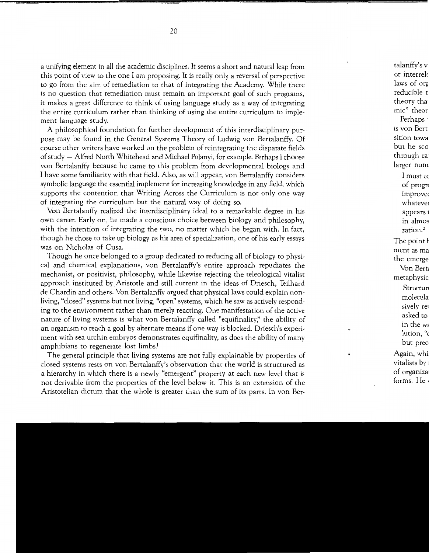a unifying element in all the academic disciplines. It seems a short and natural leap from this point of view to the one I am proposing. It is really only a reversal of perspective to go from the aim of remediation to that of integrating the Academy. While there is no question that remediation must remain an important goal of such programs, it makes a great difference to think of using language study as a way of integrating the entire curriculum rather than thinking of using the entire curriculum to implement language study.

A philosophical foundation for further development of this interdisciplinary purpose may be found in the General Systems Theory of Ludwig von Bertalanffy. Of course other writers have worked on the problem of reintegrating the disparate fields of study - Alfred North Whitehead and Michael Polanyi, for example. Perhaps I choose von Bertalanffy because he came to this problem from developmental biology and I have some familiarity with that field. Also, as will appear, von Bertalanffy considers symbolic language the essential implement for increasing knowledge in any field, which supports the contention that Writing Across the Curriculum is not only one way of integrating the curriculum but the natural way of doing so.

Von Bertalanffy realized the interdisciplinary ideal to a remarkable degree in his own career. Early on, he made a conscious choice between biology and philosophy, with the intention of integrating the two, no matter which he began with. In fact, though he chose to take up biology as his area of specialization, one of his early essays was on Nicholas of Cusa.

Though he once belonged to a group dedicated to reducing all of biology to physical and chemical explanations, von Bertalanffy's entire approach repudiates the mechanist, or positivist, philosophy, while likewise rejecting the teleological vitalist approach instituted by. Aristotle and still current in the ideas of Driesch, Teilhard de Chardin and others. Von Bertalanffy argued that physical laws could explain nonliving, "closed" systems but not living, "open" systems, which he saw as actively responding to the environment rather than merely reacting. One manifestation of the active nature of living systems is what von Bertalanffy called "equifinality;' the ability of an organism to reach a goal by alternate means if one way is blocked. Driesch's experiment with sea urchin embryos demonstrates equifinality, as does the ability of many amphibians to regenerate lost limbs.1

The general principle that living systems are not fully explainable by properties of closed systems rests on von Bertalanffy's observation that the world is structured as a hierarchy in which there is a newly "emergent" property at each new level that is not derivable from the properties of the level below it. This is an extension of the Aristotelian dictum that the whole is greater than the sum of its parts. In von Ber-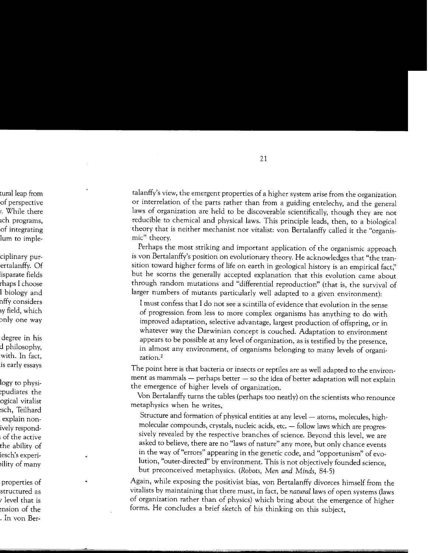talanffy's view, the emergent properties of a higher system arise from the organization or interrelation of the parts rather than from a guiding entelechy, and the general laws of organization are held to be discoverable scientifically, though they are not reducible to chemical and physical laws. This principle leads, then, to a biological theory that is neither mechanist nor vitalist: von Bertalanffy called it the "organismic" theory.

Perhaps the most striking and important application of the organismic approach is von Bertalanffy's position on evolutionary theory. He acknowledges that "the transition toward higher forms of life on earth in geological history is an empirical fact;' but he scorns the generally accepted explanation that this evolution came about through random mutations and "differential reproduction" (that is, the survival of larger numbers of mutants particularly well adapted to a given environment):

I must confess that I do not see a scintilla of evidence that evolution in the sense of progression from less to more complex organisms has anything to do with improved adaptation, selective advantage, largest production of offspring, or in whatever way the Darwinian concept is couched. Adaptation to environment appears to be possible at any level of organization, as is testified by the presence, in almost any environment, of organisms belonging to many levels of organization.2

The point here is that bacteria or insects or reptiles are as well adapted to the environment as mammals - perhaps better - so the idea of better adaptation will not explain the emergence of higher levels of organization.

Von Bertalanffy turns the tables (perhaps too neatly) on the scientists who renounce metaphysics when he writes,

Structure and formation of physical entities at any level - atoms, molecules, highmolecular compounds, crystals, nucleic acids, etc. - follow laws which are progressively revealed by the respective branches of science. Beyond this level, we are asked to believe, there are no "laws of nature" any more, but only chance events in the way of "errors" appearing in the genetic code, and "opportunism" of evolution, "outer-directed" by environment. This is not objectively founded science, but preconceived metaphysics. *(Robots, Men and Minds,* 84-5)

Again, while exposing the positivist bias, von Bertalanffy divorces himself from the vitalists by maintaining that there must, in fact, be *natural* laws of open systems (laws of organization rather than of physics) which bring about the emergence of higher forms. He concludes a brief sketch of his thinking on this subject,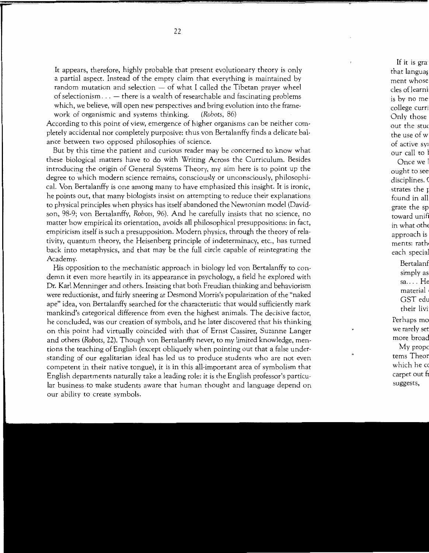It appears, therefore, highly probable that present evolutionary theory is only a partial aspect. Instead of the empty claim that everything is maintained by random mutation and selection  $-$  of what I called the Tibetan prayer wheel of selectionism  $\ldots$  - there is a wealth of researchable and fascinating problems which, we believe, will open new perspectives and bring evolution into the framework of organismic and systems thinking. *(Robots,* 86)

According to this point of view, emergence of higher organisms can be neither completely accidental nor completely purposive: thus von Bertalanffy finds a delicate balance between two opposed philosophies of science.

But by this time the patient and curious reader may be concerned to know what these biological matters have to do with Writing Across the Curriculum. Besides introducing the origin of General Systems Theory, my aim here is to point up the degree to which modern science remains, consciously or unconsciously, philosophical. Von Bertalanffy is one among many to have emphasized this insight. It is ironic, he points out, that many biologists insist on attempting to reduce their explanations to physical principles when physics has itself abandoned the Newtonian model (Davidson, 98-9; von Bertalanffy, *Robots,* 96). And he carefully insists that no science, no matter how empirical its orientation, avoids all philosophical presuppositions: in fact, empiricism itself is such a presupposition. Modern physics, through the theory of relativity, quantum theory, the Heisenberg principle of indeterminacy, etc., has turned back into metaphysics, and that may be the full circle capable of reintegrating the Academy.

His opposition to the mechanistic approach in biology led von Bertalanffy to condemn it even more heartily in its appearance in psychology, a field he explored with Dr. Karl Menninger and others. Insisting that both Freudian thinking and behaviorism were reductionist, and fairly sneering at Desmond Morris's popularization of the "naked ape" idea, von Bertalanffy searched for the characteristic that would sufficiently mark mankind's categorical difference from even the highest animals. The decisive factor, he concluded, was our creation of symbols, and he later discovered that his thinking on this point had virtually coincided with that of Ernst Cassirer, Suzanne Langer and others *(Robots,* 22). Though von Bertalanffy never, to my limited knowledge, mentions the teaching of English (except obliquely when pointing out that a false understanding of our egalitarian ideal has led us to produce students who are not even competent in their native tongue), it is in this all-important area of symbolism that English departments naturally take a leading role: it is the English professor's particular business. to make students aware that human thought and language depend on our ability to create symbols.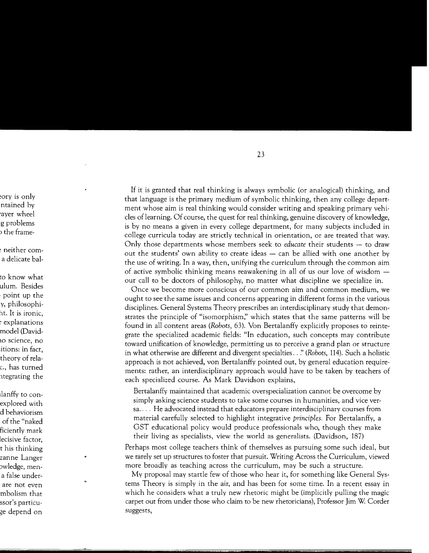If it is granted that real thinking is always symbolic (or analogical) thinking, and that language is the primary medium of symbolic thinking, then any college department whose aim is real thinking would consider writing and speaking primary vehicles of learning. Of course, the quest for real thinking, genuine discovery of knowledge, is by no means a given in every college department, for many subjects included in college curricula today are strictly technical in orientation, or are treated that way. Only those departments whose members seek to *educate* their students - to draw out the students' own ability to create ideas  $-$  can be allied with one another by the use of writing. In a way, then, unifying the curriculum through the common aim of active symbolic thinking means reawakening in all of us our love of wisdom  $$ our call to be doctors of philosophy, no matter what discipline we specialize in.

Once we become more conscious of our common aim and common medium, we ought to see the same issues and concerns appearing in different forms in the various disciplines. General Systems Theory prescribes an interdisciplinary study that demonstrates the principle of "isomorphism;' which states that the same patterns will be found in all content areas *(Robots,* 63). Von Bertalanffy explicitly proposes to reintegrate the specialized academic fields: "In education, such concepts may contribute toward unification of knowledge, permitting us to perceive a grand plan or structure in what otherwise are different and divergent specialties .. *:• (Robots,* 114). Such a holistic approach is not achieved, von Bertalanffy pointed out, by general education requirements: rather, an interdisciplinary approach would have to be taken by teachers of each specialized course. As Mark Davidson explains,

Bertalanffy maintained that academic overspecialization cannot be overcome by simply asking science students to take some courses in humanities, and vice versa .... He advocated instead that educators prepare interdisciplinary courses from material carefully selected to highlight integrative *principles.* For Bertalanffy, a GST educational policy would produce professionals who, though they make their living as specialists, view the world as generalists. (Davidson, 187)

Perhaps most college teachers think of themselves as pursuing some such ideal, but we rarely set up structures to foster that pursuit. Writing Across the Curriculum, viewed more broadly as teaching across the curriculum, may be such a structure.

My proposal may startle few of those who hear it, for something like General Systems Theory is simply in the air, and has been for some time. In a recent essay in which he considers what a truly new rhetoric might be (implicitly pulling the magic carpet out from under those who claim to be new rhetoricians), Professor Jim W. Corder suggests,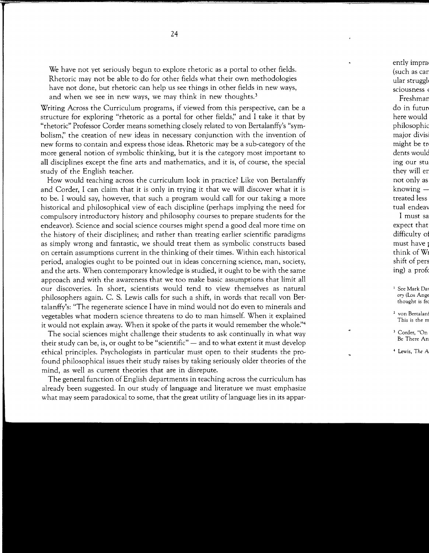We have not yet seriously begun to explore rhetoric as a portal to other fields. Rhetoric may not be able to do for other fields what their own methodologies have not done, but rhetoric can help us see things in other fields in new ways, and when we see in new ways, we may think in new thoughts.<sup>3</sup>

Writing Across the Curriculum programs, if viewed from this perspective, can be a structure for exploring "rhetoric as a portal for other fields;' and I take it that by "rhetoric" Professor Corder means something closely related to von Bertalanffy's "symbolism;' the creation of new ideas in necessary conjunction with the invention of new forms to contain and express those ideas. Rhetoric may be a sub-category of the more general notion of symbolic thinking, but it is the category most important to all disciplines except the fine arts and mathematics, and it is, of course, the special study of the English teacher.

How would teaching across the curriculum look in practice? Like von Bertalanffy and Corder, I can claim that it is only in trying it that we will discover what it is to be. I would say, however, that such a program would call for our taking a more historical and philosophical view of each discipline (perhaps implying the need for compulsory introductory history and philosophy courses to prepare students for the endeavor). Science and social science courses might spend a good deal more time on the history of their disciplines; and rather than treating earlier scientific paradigms as simply wrong and fantastic, we should treat them as symbolic constructs based on certain assumptions current in the thinking of their times. Within each historical period, analogies ought to be pointed out in ideas concerning science, man, society, and the arts. When contemporary knowledge is studied, it ought to be with the same approach and with the awareness that we too make basic assumptions that limit all our discoveries. In short, scientists would tend to view themselves as natural philosophers again. C. S. Lewis calls for such a shift, in words that recall von Bertalanffy's: "The regenerate science I have in mind would not do even to minerals and vegetables what modern science threatens to do to man himself. When it explained it would not explain away. When it spoke of the parts it would remember the whole."<sup>4</sup>

The social sciences might challenge their students to ask continually in what way their study can be, is, or ought to be "scientific"  $-$  and to what extent it must develop ethical principles. Psychologists in particular must open to their students the profound philosophical issues their study raises by taking seriously older theories of the mind, as well as current theories that are in disrepute.

The general function of English departments in teaching across the curriculum has already been suggested. In our study of language and literature we must emphasize what may seem paradoxical to some, that the great utility of language lies in its appar